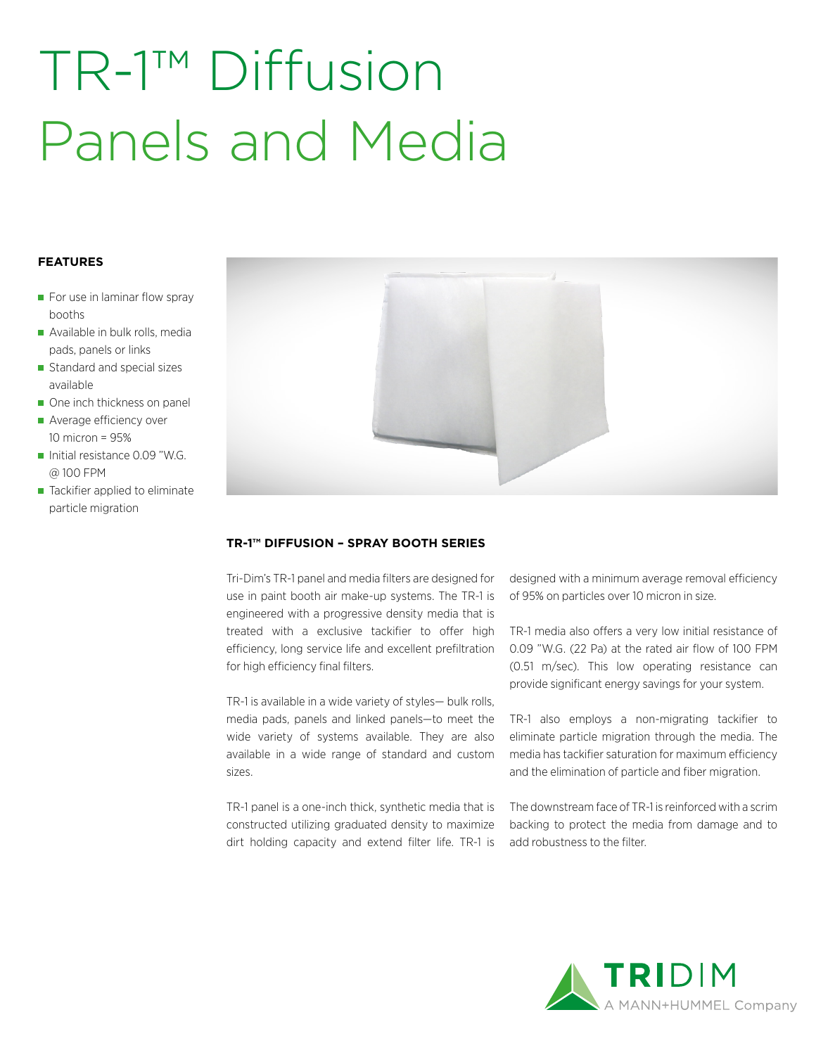# TR-1™ Diffusion Panels and Media

# **FEATURES**

- $\blacksquare$  For use in laminar flow spray booths
- Available in bulk rolls, media pads, panels or links
- Standard and special sizes available
- One inch thickness on panel
- Average efficiency over 10 micron = 95%
- Initial resistance 0.09 "W.G. @ 100 FPM
- Tackifier applied to eliminate particle migration



## **TR-1™ DIFFUSION – SPRAY BOOTH SERIES**

Tri-Dim's TR-1 panel and media filters are designed for use in paint booth air make-up systems. The TR-1 is engineered with a progressive density media that is treated with a exclusive tackifier to offer high efficiency, long service life and excellent prefiltration for high efficiency final filters.

TR-1 is available in a wide variety of styles— bulk rolls, media pads, panels and linked panels—to meet the wide variety of systems available. They are also available in a wide range of standard and custom sizes.

TR-1 panel is a one-inch thick, synthetic media that is constructed utilizing graduated density to maximize dirt holding capacity and extend filter life. TR-1 is designed with a minimum average removal efficiency of 95% on particles over 10 micron in size.

TR-1 media also offers a very low initial resistance of 0.09 "W.G. (22 Pa) at the rated air flow of 100 FPM (0.51 m/sec). This low operating resistance can provide significant energy savings for your system.

TR-1 also employs a non-migrating tackifier to eliminate particle migration through the media. The media has tackifier saturation for maximum efficiency and the elimination of particle and fiber migration.

The downstream face of TR-1 is reinforced with a scrim backing to protect the media from damage and to add robustness to the filter.